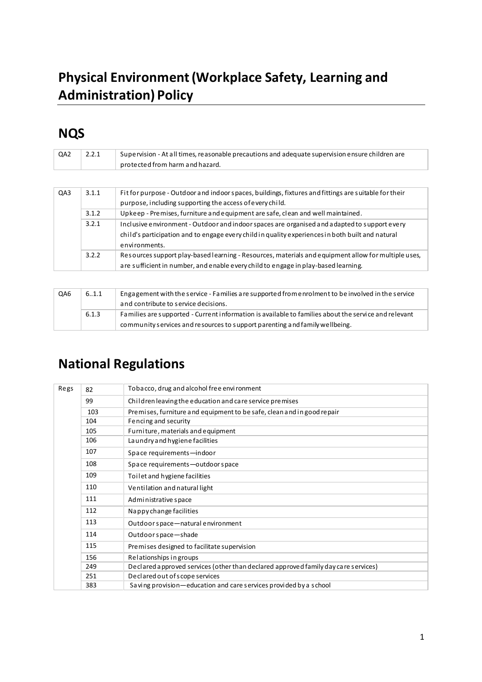# **Physical Environment (Workplace Safety, Learning and Administration) Policy**

# **NQS**

| QA <sub>2</sub> | 2.2.1 | Supervision - At all times, reasonable precautions and adequate supervision ensure children are<br>protected from harm and hazard.                                                                                |
|-----------------|-------|-------------------------------------------------------------------------------------------------------------------------------------------------------------------------------------------------------------------|
|                 |       |                                                                                                                                                                                                                   |
| QA3             | 3.1.1 | Fit for purpose - Outdoor and indoor spaces, buildings, fixtures and fittings are suitable for their<br>purpose, including supporting the access of every child.                                                  |
|                 | 3.1.2 | Upkeep - Premises, furniture and equipment are safe, clean and well maintained.                                                                                                                                   |
|                 | 3.2.1 | Inclusive environment - Outdoor and indoor spaces are organised and adapted to support every<br>child's participation and to engage every child in quality experiences in both built and natural<br>environments. |
|                 | 3.2.2 | Resources support play-based learning - Resources, materials and equipment allow for multiple uses,<br>are sufficient in number, and enable every child to engage in play-based learning.                         |

| QA6 | 6.1.1 | Engagement with the service - Families are supported from enrolment to be involved in the service<br>and contribute to service decisions.                                           |  |  |  |  |  |  |
|-----|-------|-------------------------------------------------------------------------------------------------------------------------------------------------------------------------------------|--|--|--|--|--|--|
|     | 6.1.3 | Families are supported - Current information is available to families about the service and relevant<br>community services and resources to support parenting and family wellbeing. |  |  |  |  |  |  |

# **National Regulations**

| Regs | 82  | Tobacco, drug and alcohol free envi ronment                                        |  |  |  |  |  |  |  |  |
|------|-----|------------------------------------------------------------------------------------|--|--|--|--|--|--|--|--|
|      | 99  | Children leaving the education and care service premises                           |  |  |  |  |  |  |  |  |
|      | 103 | Premises, furniture and equipment to be safe, clean and in good repair             |  |  |  |  |  |  |  |  |
|      | 104 | Fencing and security                                                               |  |  |  |  |  |  |  |  |
|      | 105 | Furniture, materials and equipment                                                 |  |  |  |  |  |  |  |  |
|      | 106 | La undry and hygiene facilities                                                    |  |  |  |  |  |  |  |  |
|      | 107 | Space requirements-indoor                                                          |  |  |  |  |  |  |  |  |
|      | 108 | Space requirements-outdoor space                                                   |  |  |  |  |  |  |  |  |
|      | 109 | Toilet and hygiene facilities                                                      |  |  |  |  |  |  |  |  |
|      | 110 | Ventilation and natural light                                                      |  |  |  |  |  |  |  |  |
|      | 111 | Administrative space                                                               |  |  |  |  |  |  |  |  |
|      | 112 | Nappy change facilities                                                            |  |  |  |  |  |  |  |  |
|      | 113 | Outdoor space-natural environment                                                  |  |  |  |  |  |  |  |  |
|      | 114 | Outdoor space-shade                                                                |  |  |  |  |  |  |  |  |
|      | 115 | Premises designed to facilitate supervision                                        |  |  |  |  |  |  |  |  |
|      | 156 | Relationships in groups                                                            |  |  |  |  |  |  |  |  |
|      | 249 | Declared approved services (other than declared approved family day care services) |  |  |  |  |  |  |  |  |
|      | 251 | Declared out of scope services                                                     |  |  |  |  |  |  |  |  |
|      | 383 | Saving provision—education and care services provided by a school                  |  |  |  |  |  |  |  |  |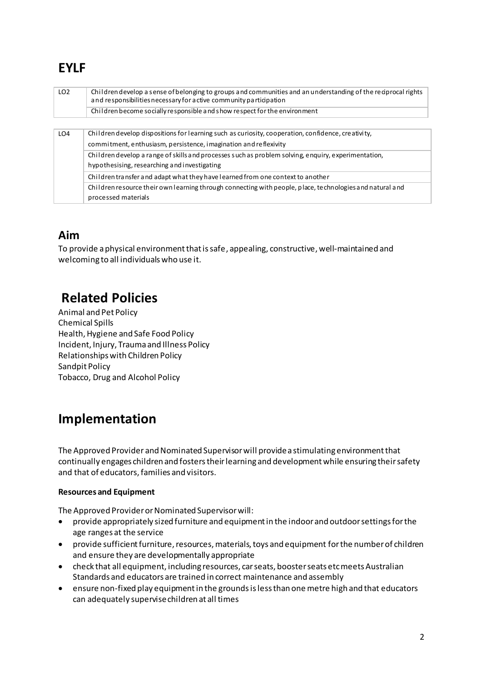# **EYLF**

| LO <sub>2</sub> | Children develop a sense of belonging to groups and communities and an understanding of the reciprocal rights<br>and responsibilities necessary for active community participation<br>Children become socially responsible and show respect for the environment |  |  |  |  |  |
|-----------------|-----------------------------------------------------------------------------------------------------------------------------------------------------------------------------------------------------------------------------------------------------------------|--|--|--|--|--|
|                 |                                                                                                                                                                                                                                                                 |  |  |  |  |  |
| LO <sub>4</sub> | Children develop dispositions for learning such as curiosity, cooperation, confidence, creativity,                                                                                                                                                              |  |  |  |  |  |
|                 | commitment, enthusiasm, persistence, i magination and reflexivity                                                                                                                                                                                               |  |  |  |  |  |
|                 | Children develop a range of skills and processes such as problem solving, enquiry, experimentation,                                                                                                                                                             |  |  |  |  |  |
|                 | hypothesising, researching and investigating                                                                                                                                                                                                                    |  |  |  |  |  |
|                 | Children transfer and adapt what they have learned from one context to another                                                                                                                                                                                  |  |  |  |  |  |
|                 | Children resource their own learning through connecting with people, place, technologies and natural and                                                                                                                                                        |  |  |  |  |  |
|                 | processed materials                                                                                                                                                                                                                                             |  |  |  |  |  |

# **Aim**

To provide a physical environment that is safe, appealing, constructive, well-maintained and welcoming to all individuals who use it.

# **Related Policies**

Animal and Pet Policy Chemical Spills Health, Hygiene and Safe Food Policy Incident, Injury, Trauma and Illness Policy Relationships with Children Policy Sandpit Policy Tobacco, Drug and Alcohol Policy

# **Implementation**

The Approved Provider and Nominated Supervisor will provide a stimulating environment that continually engages children and fosters their learning and development while ensuring their safety and that of educators, families and visitors.

### **Resources and Equipment**

The Approved Provider or Nominated Supervisor will:

- provide appropriately sized furniture and equipment in the indoor and outdoor settings for the age ranges at the service
- provide sufficient furniture, resources, materials, toys and equipment for the number of children and ensure they are developmentally appropriate
- check that all equipment, including resources, car seats, booster seats etc meets Australian Standards and educators are trained in correct maintenance and assembly
- ensure non-fixed play equipment in the grounds is less than one metre high and that educators can adequately supervise children at all times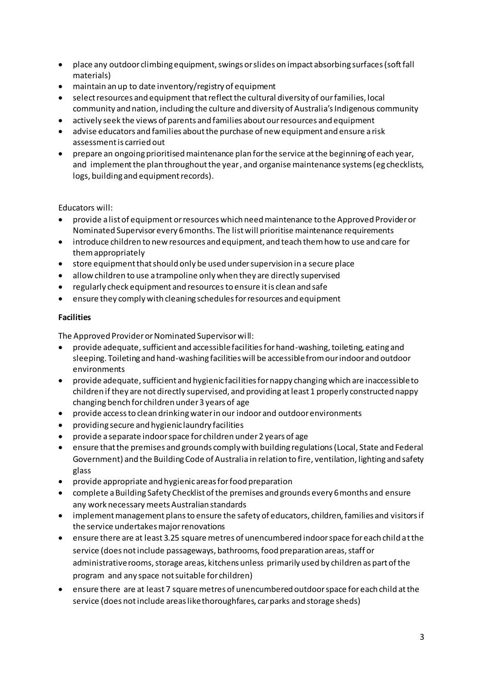- place any outdoor climbing equipment, swings or slides on impact absorbing surfaces (soft fall materials)
- maintain an up to date inventory/registry of equipment
- select resources and equipment that reflect the cultural diversity of our families, local community and nation, including the culture and diversity of Australia's Indigenous community
- actively seek the views of parents and families about our resources and equipment
- advise educators and families about the purchase of new equipment and ensure a risk assessment is carried out
- prepare an ongoing prioritised maintenance plan for the service at the beginning of each year, and implement the plan throughout the year , and organise maintenance systems (eg checklists, logs, building and equipment records).

Educators will:

- provide a list of equipment or resources which need maintenance to the Approved Provider or Nominated Supervisor every 6 months. The list will prioritise maintenance requirements
- introduce children to new resources and equipment, and teach them how to use and care for them appropriately
- store equipment that should only be used under supervision in a secure place
- allow children to use a trampoline only when they are directly supervised
- regularly check equipment and resources to ensure it is clean and safe
- ensure they comply with cleaning schedules for resources and equipment

### **Facilities**

The Approved Provider or Nominated Supervisor will:

- provide adequate, sufficient and accessible facilities for hand-washing, toileting, eating and sleeping. Toileting and hand-washing facilities will be accessible from our indoor and outdoor environments
- provide adequate, sufficient and hygienic facilities for nappy changing which are inaccessible to children if they are not directly supervised, and providing at least 1 properly constructed nappy changing bench for children under 3 years of age
- provide access to clean drinking water in our indoor and outdoor environments
- providing secure and hygienic laundry facilities
- provide a separate indoor space for children under 2 years of age
- ensure that the premises and grounds comply with building regulations (Local, State and Federal Government) and the Building Code of Australia in relation to fire, ventilation, lighting and safety glass
- provide appropriate and hygienic areas for food preparation
- complete a Building Safety Checklist of the premises and grounds every 6 months and ensure any work necessary meets Australian standards
- implement management plans to ensure the safety of educators, children, families and visitors if the service undertakes major renovations
- ensure there are at least 3.25 square metres of unencumbered indoor space for each child at the service (does not include passageways, bathrooms, food preparation areas, staff or administrative rooms, storage areas, kitchens unless primarily used by children as part of the program and any space not suitable for children)
- ensure there are at least 7 square metres of unencumbered outdoor space for each child at the service (does not include areas like thoroughfares, car parks and storage sheds)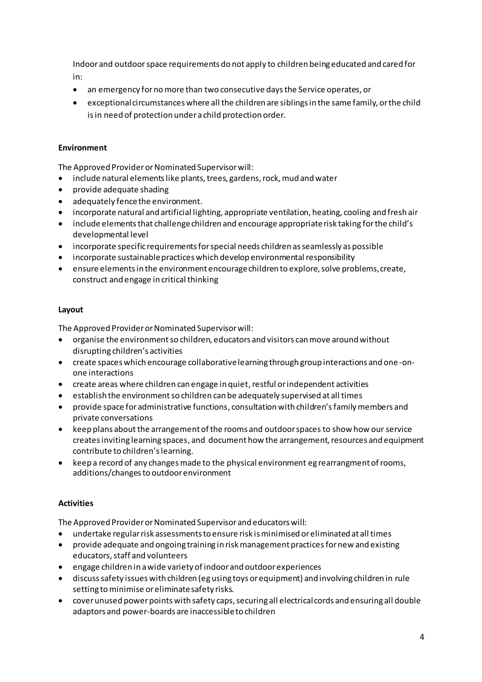Indoor and outdoor space requirements do not apply to children being educated and cared for in:

- an emergency for no more than two consecutive days the Service operates, or
- exceptional circumstances where all the children are siblings in the same family, or the child is in need of protection under a child protection order.

### **Environment**

The Approved Provider or Nominated Supervisor will:

- include natural elements like plants, trees, gardens, rock, mud and water
- provide adequate shading
- adequately fence the environment.
- incorporate natural and artificial lighting, appropriate ventilation, heating, cooling and fresh air
- include elements that challenge children and encourage appropriate risk taking for the child's developmental level
- incorporate specific requirements for special needs children as seamlessly as possible
- incorporate sustainable practices which develop environmental responsibility
- ensure elements in the environment encourage children to explore, solve problems, create, construct and engage in critical thinking

### **Layout**

The Approved Provider or Nominated Supervisor will:

- organise the environment so children, educators and visitors can move around without disrupting children's activities
- create spaces which encourage collaborative learning through group interactions and one -onone interactions
- create areas where children can engage in quiet, restful or independent activities
- establish the environment so children can be adequately supervised at all times
- provide space for administrative functions, consultation with children's family members and private conversations
- keep plans about the arrangement of the rooms and outdoor spaces to show how our service creates inviting learning spaces, and document how the arrangement, resources and equipment contribute to children's learning.
- keep a record of any changes made to the physical environment eg rearrangment of rooms, additions/changes to outdoor environment

### **Activities**

The Approved Provider or Nominated Supervisor and educators will:

- undertake regular risk assessments to ensure risk is minimised or eliminated at all times
- provide adequate and ongoing training in risk management practices for new and existing educators, staff and volunteers
- engage children in a wide variety of indoor and outdoor experiences
- discuss safety issues with children (eg using toys or equipment) and involving children in rule setting to minimise or eliminate safety risks.
- cover unused power points with safety caps, securing all electrical cords and ensuring all double adaptors and power-boards are inaccessible to children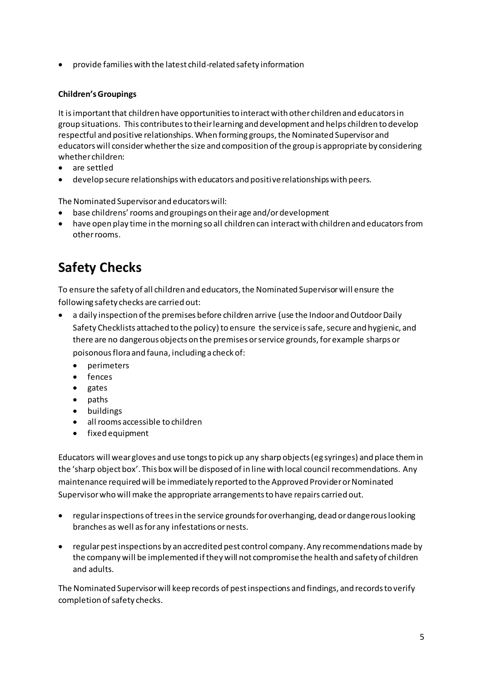• provide families with the latest child-related safety information

### **Children's Groupings**

It is important that children have opportunities to interact with other children and educators in group situations. This contributes to their learning and development and helps children to develop respectful and positive relationships. When forming groups, the Nominated Supervisor and educators will consider whether the size and composition of the group is appropriate by considering whether children:

- are settled
- develop secure relationships with educators and positive relationships with peers.

The Nominated Supervisor and educators will:

- base childrens' rooms and groupings on their age and/or development
- have open play time in the morning so all children can interact with children and educators from other rooms.

# **Safety Checks**

To ensure the safety of all children and educators, the Nominated Supervisor will ensure the following safety checks are carried out:

- a daily inspection of the premises before children arrive (use the Indoor and Outdoor Daily Safety Checklists attached to the policy) to ensure the service is safe, secure and hygienic, and there are no dangerous objects on the premises or service grounds, for example sharps or poisonous flora and fauna, including a check of:
	- $\bullet$ perimeters
	- fences
	- $\bullet$  gates
	- $\bullet$  paths
	- · buildings
	- all rooms accessible to children
	- fixed equipment

Educators will wear gloves and use tongs to pick up any sharp objects (eg syringes) and place them in the 'sharp object box'. This box will be disposed of in line with local council recommendations. Any maintenance required will be immediately reported to the Approved Provider or Nominated Supervisor who will make the appropriate arrangements to have repairs carried out.

- regular inspections of trees in the service grounds for overhanging, dead or dangerous looking branches as well as for any infestations or nests.
- regular pest inspections by an accredited pest control company. Any recommendations made by the company will be implemented if they will not compromise the health and safety of children and adults.

The Nominated Supervisor will keep records of pest inspections and findings, and records to verify completion of safety checks.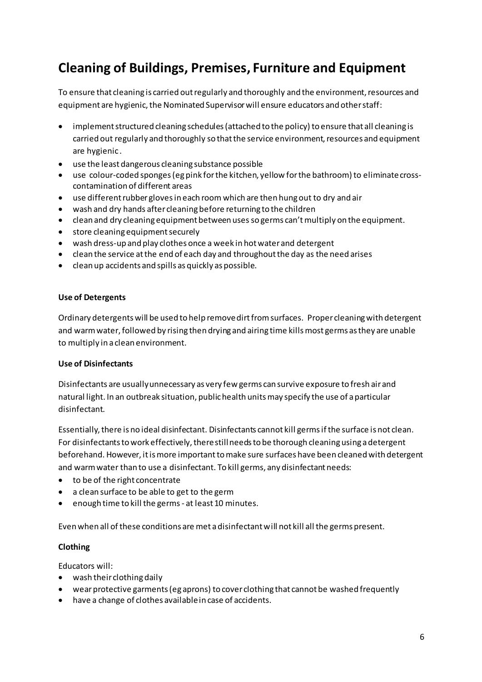# **Cleaning of Buildings, Premises, Furniture and Equipment**

To ensure that cleaning is carried out regularly and thoroughly and the environment, resources and equipment are hygienic, the Nominated Supervisor will ensure educators and other staff:

- implement structured cleaning schedules (attached to the policy) to ensure that all cleaning is carried out regularly and thoroughly so that the service environment, resources and equipment are hygienic .
- use the least dangerous cleaning substance possible
- use colour-coded sponges (eg pink for the kitchen, yellow for the bathroom) to eliminate crosscontamination of different areas
- use different rubber gloves in each room which are then hung out to dry and air
- wash and dry hands after cleaning before returning to the children
- clean and dry cleaning equipment between uses so germs can't multiply on the equipment.
- store cleaning equipment securely
- wash dress-up and play clothes once a week in hot water and detergent
- clean the service at the end of each day and throughout the day as the need arises
- clean up accidents and spills as quickly as possible.

#### **Use of Detergents**

Ordinary detergents will be used to help remove dirt from surfaces. Proper cleaning with detergent and warm water, followed by rising then drying and airing time kills most germs as they are unable to multiply in a clean environment.

### **Use of Disinfectants**

Disinfectants are usually unnecessary as very few germs can survive exposure to fresh air and natural light. In an outbreak situation, public health units may specify the use of a particular disinfectant.

Essentially, there is no ideal disinfectant. Disinfectants cannot kill germs if the surface is not clean. For disinfectants to work effectively, there still needs to be thorough cleaning using a detergent beforehand. However, it is more important to make sure surfaces have been cleaned with detergent and warm water than to use a disinfectant. To kill germs, any disinfectant needs:

- to be of the right concentrate
- a clean surface to be able to get to the germ
- enough time to kill the germs at least 10 minutes.

Even when all of these conditions are met a disinfectant will not kill all the germs present.

### **Clothing**

Educators will:

- wash their clothing daily
- wear protective garments (eg aprons) to cover clothing that cannot be washed frequently
- have a change of clothes available in case of accidents.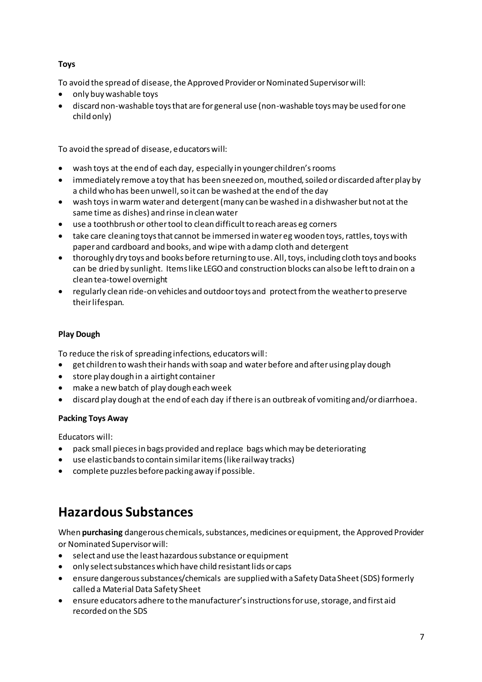## **Toys**

To avoid the spread of disease, the Approved Provider or Nominated Supervisor will:

- only buy washable toys
- discard non-washable toys that are for general use (non-washable toys may be used for one child only)

To avoid the spread of disease, educators will:

- wash toys at the end of each day, especially in younger children's rooms
- immediately remove a toy that has been sneezed on, mouthed, soiled or discarded after play by a child who has been unwell, so it can be washed at the end of the day
- wash toys in warm water and detergent (many can be washed in a dishwasher but not at the same time as dishes) and rinse in clean water
- use a toothbrush or other tool to clean difficult to reach areas eg corners
- take care cleaning toys that cannot be immersed in water eg wooden toys, rattles, toys with paper and cardboard and books, and wipe with a damp cloth and detergent
- thoroughly dry toys and books before returning to use. All, toys, including cloth toys and books can be dried by sunlight. Items like LEGO and construction blocks can also be left to drain on a clean tea-towel overnight
- regularly clean ride-on vehicles and outdoor toys and protect from the weather to preserve their lifespan.

## **Play Dough**

To reduce the risk of spreading infections, educators will:

- get children to wash their hands with soap and water before and after using play dough
- store play dough in a airtight container
- make a new batch of play dough each week
- discard play dough at the end of each day if there is an outbreak of vomiting and/or diarrhoea.

## **Packing Toys Away**

Educators will:

- pack small pieces in bags provided and replace bags which may be deteriorating
- use elastic bands to contain similar items (like railway tracks)
- complete puzzles before packing away if possible.

# **Hazardous Substances**

When **purchasing** dangerous chemicals, substances, medicines or equipment, the Approved Provider or Nominated Supervisor will:

- select and use the least hazardous substance or equipment
- only select substances which have child resistant lids or caps
- ensure dangerous substances/chemicals are supplied with a Safety Data Sheet (SDS) formerly called a Material Data Safety Sheet
- ensure educators adhere to the manufacturer's instructions for use, storage, and first aid recorded on the SDS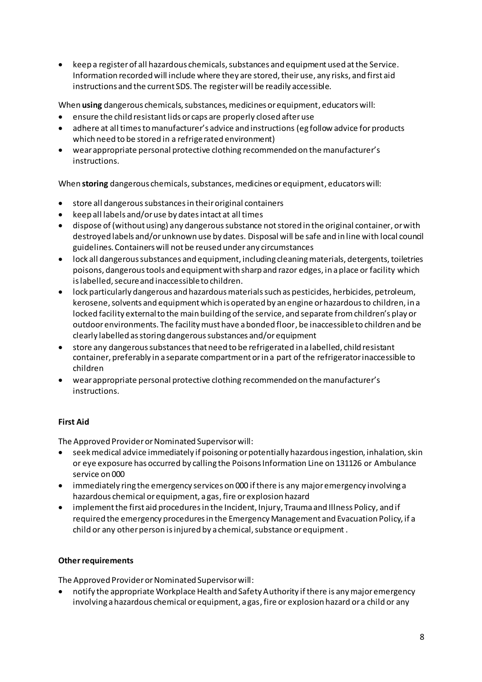• keep a register of all hazardous chemicals, substances and equipment used at the Service. Information recorded will include where they are stored, their use, any risks, and first aid instructions and the current SDS. The register will be readily accessible.

When **using** dangerous chemicals, substances, medicines or equipment, educators will:

- ensure the child resistant lids or caps are properly closed after use
- adhere at all times to manufacturer's advice and instructions (eg follow advice for products which need to be stored in a refrigerated environment)
- wear appropriate personal protective clothing recommended on the manufacturer's instructions.

When **storing** dangerous chemicals, substances, medicines or equipment, educators will:

- store all dangerous substances in their original containers
- keep all labels and/or use by dates intact at all times
- dispose of (without using) any dangerous substance not stored in the original container, or with destroyed labels and/or unknown use by dates. Disposal will be safe and in line with local council guidelines. Containers will not be reused under any circumstances
- lock all dangerous substances and equipment, including cleaning materials, detergents, toiletries poisons, dangerous tools and equipment with sharp and razor edges, in a place or facility which is labelled, secure and inaccessible to children.
- lock particularly dangerous and hazardous materials such as pesticides, herbicides, petroleum, kerosene, solvents and equipment which is operated by an engine or hazardous to children, in a locked facility external to the main building of the service, and separate from children's play or outdoor environments. The facility must have a bonded floor, be inaccessible to children and be clearly labelled as storing dangerous substances and/or equipment
- store any dangerous substances that need to be refrigerated in a labelled, child resistant container, preferably in a separate compartment or in a part of the refrigerator inaccessible to children
- wear appropriate personal protective clothing recommended on the manufacturer's instructions.

## **First Aid**

The Approved Provider or Nominated Supervisor will:

- seek medical advice immediately if poisoning or potentially hazardous ingestion, inhalation, skin or eye exposure has occurred by calling the Poisons Information Line on 131126 or Ambulance service on 000
- immediately ring the emergency services on 000 if there is any major emergency involving a hazardous chemical or equipment, a gas, fire or explosion hazard
- implement the first aid procedures in the Incident, Injury, Trauma and Illness Policy, and if required the emergency procedures in the Emergency Management and Evacuation Policy, if a child or any other person is injured by a chemical, substance or equipment .

### **Other requirements**

The Approved Provider or Nominated Supervisor will:

• notify the appropriate Workplace Health and Safety Authority if there is any major emergency involving a hazardous chemical or equipment, a gas, fire or explosion hazard or a child or any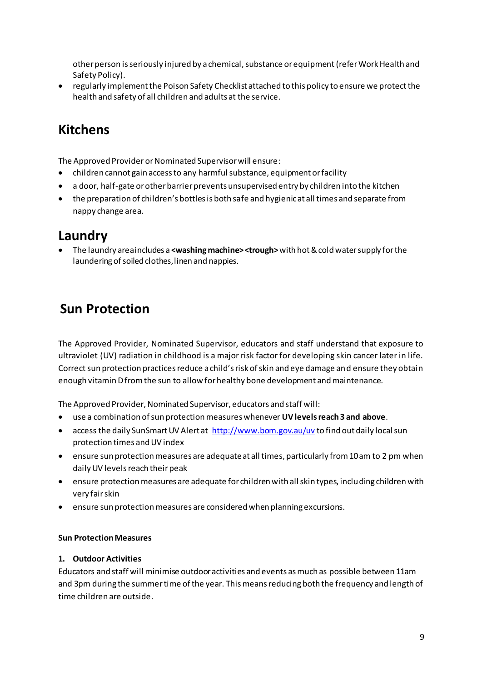other person is seriously injured by a chemical, substance or equipment (refer Work Health and Safety Policy).

• regularly implement the Poison Safety Checklist attached to this policy to ensure we protect the health and safety of all children and adults at the service.

# **Kitchens**

The Approved Provider or Nominated Supervisor will ensure:

- children cannot gain access to any harmful substance, equipment or facility
- a door, half-gate or other barrier prevents unsupervised entry by children into the kitchen
- the preparation of children's bottles is both safe and hygienic at all times and separate from nappy change area.

# Laundry

• The laundry areaincludes a <washing machine> <trough> with hot & cold water supply for the laundering of soiled clothes, linen and nappies.

# **Sun Protection**

The Approved Provider, Nominated Supervisor, educators and staff understand that exposure to ultraviolet (UV) radiation in childhood is a major risk factor for developing skin cancer later in life. Correct sun protection practices reduce a child's risk of skin and eye damage and ensure they obtain enough vitamin D from the sun to allow for healthy bone development and maintenance.

The Approved Provider, Nominated Supervisor, educators and staff will:

- use a combination of sun protection measures whenever UV levels reach 3 and above.
- access the daily SunSmart UV Alert at http://www.bom.gov.au/uv to find out daily local sun protection times and UV index
- ensure sun protection measures are adequate at all times, particularly from 10 am to 2 pm when daily UV levels reach their peak
- ensure protection measures are adequate for children with all skin types, including children with very fair skin
- ensure sun protection measures are considered when planning excursions.

### **Sun Protection Measures**

### 1. Outdoor Activities

Educators and staff will minimise outdoor activities and events as much as possible between 11am and 3pm during the summer time of the year. This means reducing both the frequency and length of time children are outside.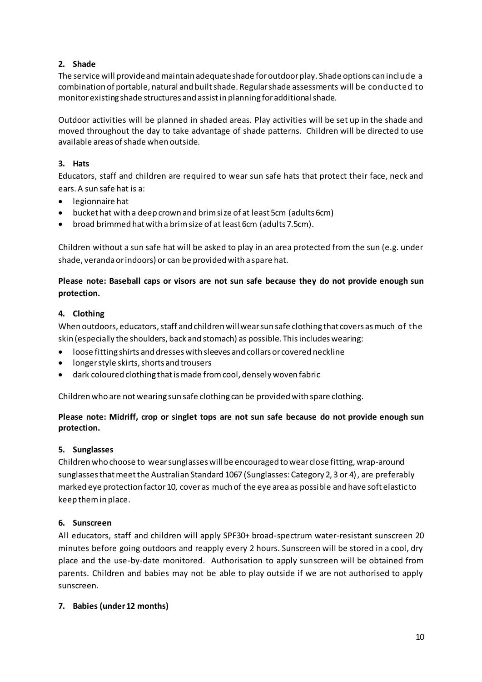### **2. Shade**

The service will provide and maintain adequate shade for outdoor play. Shade options can include a combination of portable, natural and built shade. Regular shade assessments will be conducted to monitor existing shade structures and assist in planning for additional shade.

Outdoor activities will be planned in shaded areas. Play activities will be set up in the shade and moved throughout the day to take advantage of shade patterns. Children will be directed to use available areas of shade when outside.

### **3. Hats**

Educators, staff and children are required to wear sun safe hats that protect their face, neck and ears. A sun safe hat is a:

- legionnaire hat
- bucket hat with a deep crown and brim size of at least 5cm (adults 6cm)
- broad brimmed hat with a brim size of at least 6cm (adults 7.5cm).

Children without a sun safe hat will be asked to play in an area protected from the sun (e.g. under shade, veranda or indoors) or can be provided with a spare hat.

## **Please note: Baseball caps or visors are not sun safe because they do not provide enough sun protection.**

### **4. Clothing**

When outdoors, educators, staff and children will wear sun safe clothing that covers as much of the skin (especially the shoulders, back and stomach) as possible. This includes wearing:

- loose fitting shirts and dresses with sleeves and collars or covered neckline
- longer style skirts, shorts and trousers
- dark coloured clothing that is made from cool, densely woven fabric

Children who are not wearing sun safe clothing can be provided with spare clothing.

### **Please note: Midriff, crop or singlet tops are not sun safe because do not provide enough sun protection.**

### **5. Sunglasses**

Children who choose to wear sunglasses will be encouraged to wear close fitting, wrap-around sunglasses that meet the Australian Standard 1067 (Sunglasses: Category 2, 3 or 4), are preferably marked eye protection factor 10, cover as much of the eye area as possible and have soft elastic to keep them in place.

## **6. Sunscreen**

All educators, staff and children will apply SPF30+ broad-spectrum water-resistant sunscreen 20 minutes before going outdoors and reapply every 2 hours. Sunscreen will be stored in a cool, dry place and the use-by-date monitored. Authorisation to apply sunscreen will be obtained from parents. Children and babies may not be able to play outside if we are not authorised to apply sunscreen.

### **7. Babies (under 12 months)**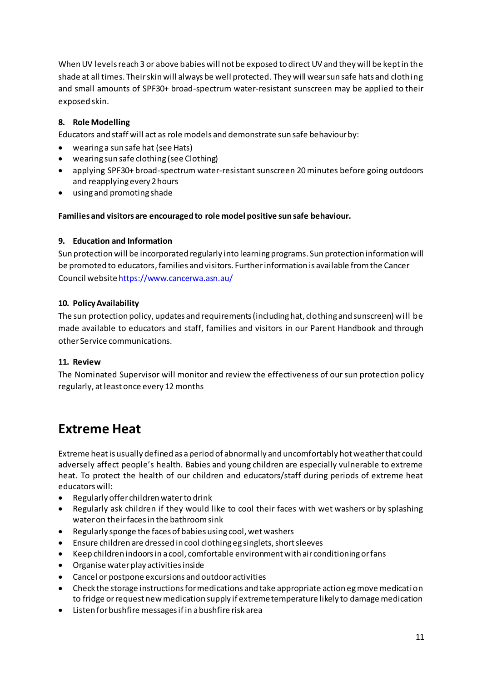When UV levels reach 3 or above babies will not be exposed to direct UV and they will be kept in the shade at all times. Their skin will always be well protected. They will wear sun safe hats and clothing and small amounts of SPF30+ broad-spectrum water-resistant sunscreen may be applied to their exposed skin.

### **8. Role Modelling**

Educators and staff will act as role models and demonstrate sun safe behaviour by:

- wearing a sun safe hat (see Hats)
- wearing sun safe clothing (see Clothing)
- applying SPF30+ broad-spectrum water-resistant sunscreen 20 minutes before going outdoors and reapplying every 2 hours
- using and promoting shade

### **Families and visitors are encouraged to role model positive sun safe behaviour.**

### **9. Education and Information**

Sun protection will be incorporated regularly into learning programs. Sun protection information will be promoted to educators, families and visitors. Further information is available from the Cancer Council websit[e https://www.cancerwa.asn.au/](https://www.cancerwa.asn.au/)

### **10. Policy Availability**

The sun protection policy, updates and requirements (including hat, clothing and sunscreen) will be made available to educators and staff, families and visitors in our Parent Handbook and through other Service communications.

### **11. Review**

The Nominated Supervisor will monitor and review the effectiveness of our sun protection policy regularly, at least once every 12 months

# **Extreme Heat**

Extreme heat is usually defined as a period of abnormally and uncomfortably hot weather that could adversely affect people's health. Babies and young children are especially vulnerable to extreme heat. To protect the health of our children and educators/staff during periods of extreme heat educators will:

- Regularly offer children water to drink
- Regularly ask children if they would like to cool their faces with wet washers or by splashing water on their faces in the bathroom sink
- Regularly sponge the faces of babies using cool, wet washers
- Ensure children are dressed in cool clothing eg singlets, short sleeves
- Keep children indoors in a cool, comfortable environment with air conditioning or fans
- Organise water play activities inside
- Cancel or postpone excursions and outdoor activities
- Check the storage instructions for medications and take appropriate action eg move medication to fridge or request new medication supply if extreme temperature likely to damage medication
- Listen for bushfire messages if in a bushfire risk area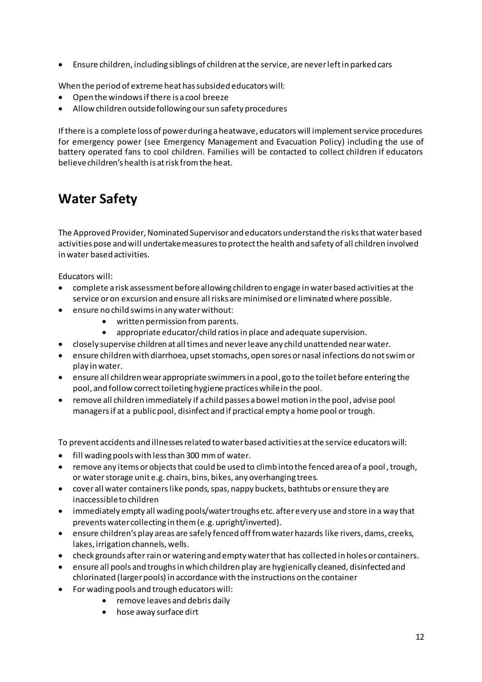• Ensure children, including siblings of children at the service, are never left in parked cars

When the period of extreme heat has subsided educators will:

- Open the windows if there is a cool breeze
- Allow children outside following our sun safety procedures

If there is a complete loss of power during a heatwave, educators will implement service procedures for emergency power (see Emergency Management and Evacuation Policy) including the use of battery operated fans to cool children. Families will be contacted to collect children if educators believe children's health is at risk from the heat.

# **Water Safety**

The Approved Provider, Nominated Supervisor and educators understand the risks that water based activities pose and will undertake measures to protect the health and safety of all children involved in water based activities.

Educators will:

- complete a risk assessment before allowing children to engage in water based activities at the service or on excursion and ensure all risks are minimised or eliminated where possible.
- ensure no child swims in any water without:
	- written permission from parents.
	- appropriate educator/child ratios in place and adequate supervision.
- closely supervise children at all times and never leave any child unattended near water.
- ensure children with diarrhoea, upset stomachs, open sores or nasal infections do not swim or play in water.
- ensure all children wear appropriate swimmers in a pool, go to the toilet before entering the pool, and follow correct toileting hygiene practices while in the pool.
- remove all children immediately if a child passes a bowel motion in the pool, advise pool managers if at a public pool, disinfect and if practical empty a home pool or trough.

To prevent accidents and illnesses related to water based activities at the service educators will:

- fill wading pools with less than 300 mm of water.
- remove any items or objects that could be used to climb into the fenced area of a pool , trough, or water storage unit e.g. chairs, bins, bikes, any overhanging trees.
- cover all water containers like ponds, spas, nappy buckets, bathtubs or ensure they are inaccessible to children
- immediately empty all wading pools/water troughs etc. after every use and store in a way that prevents water collecting in them (e.g. upright/inverted).
- ensure children's play areas are safely fenced off from water hazards like rivers, dams, creeks, lakes, irrigation channels, wells.
- check grounds after rain or watering and empty water that has collected in holes or containers.
- ensure all pools and troughs in which children play are hygienically cleaned, disinfected and chlorinated (larger pools) in accordance with the instructions on the container
- For wading pools and trough educators will:
	- remove leaves and debris daily
	- hose away surface dirt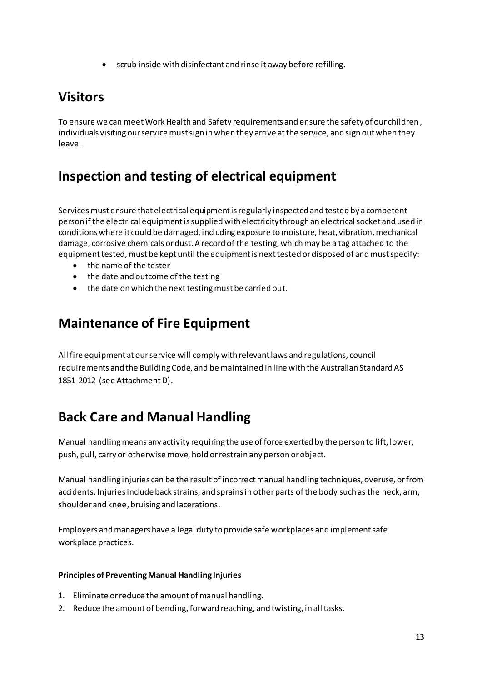• scrub inside with disinfectant and rinse it away before refilling.

# **Visitors**

To ensure we can meet Work Health and Safety requirements and ensure the safety of our children, individuals visiting our service must sign in when they arrive at the service, and sign out when they leave.

# **Inspection and testing of electrical equipment**

Services must ensure that electrical equipment is regularly inspected and tested by a competent person if the electrical equipment is supplied with electricity through an electrical socket and used in conditions where it could be damaged, including exposure to moisture, heat, vibration, mechanical damage, corrosive chemicals or dust. A record of the testing, which may be a tag attached to the equipment tested, must be kept until the equipment is next tested or disposed of and must specify:

- the name of the tester
- the date and outcome of the testing
- the date on which the next testing must be carried out.

# **Maintenance of Fire Equipment**

All fire equipment at our service will comply with relevant laws and regulations, council requirements and the Building Code, and be maintained in line with the Australian Standard AS 1851-2012 (see Attachment D).

# **Back Care and Manual Handling**

Manual handling means any activity requiring the use of force exerted by the person to lift, lower, push, pull, carry or otherwise move, hold or restrain any person or object.

Manual handling injuries can be the result of incorrect manual handling techniques, overuse, or from accidents. Injuries include back strains, and sprains in other parts of the body such as the neck, arm, shoulder and knee, bruising and lacerations.

Employers and managers have a legal duty to provide safe workplaces and implement safe workplace practices.

### **Principles of Preventing Manual Handling Injuries**

- 1. Eliminate or reduce the amount of manual handling.
- 2. Reduce the amount of bending, forward reaching, and twisting, in all tasks.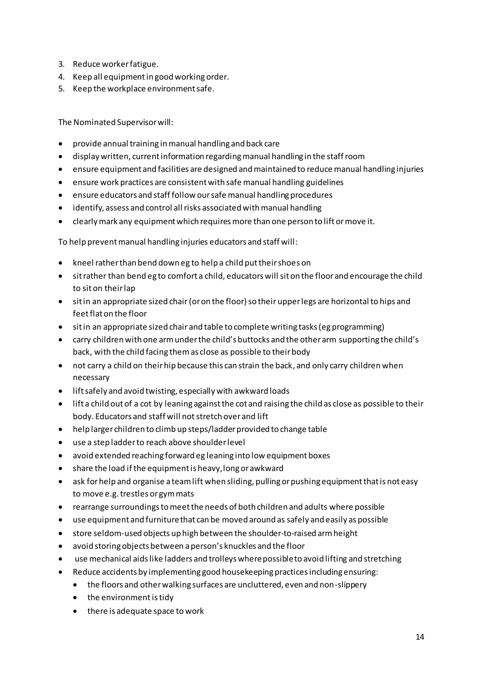- 3. Reduce worker fatigue.
- 4. Keep all equipment in good working order.
- 5. Keep the workplace environment safe.

The Nominated Supervisor will:

- provide annual training in manual handling and back care
- display written, current information regarding manual handling in the staff room
- ensure equipment and facilities are designed and maintained to reduce manual handling injuries
- ensure work practices are consistent with safe manual handling guidelines
- ensure educators and staff follow our safe manual handling procedures
- identify, assess and control all risks associated with manual handling
- clearly mark any equipment which requires more than one person to lift or move it.

To help prevent manual handling injuries educators and staff will:

- kneel rather than bend down eg to help a child put their shoes on
- sit rather than bend eg to comfort a child, educators will sit on the floor and encourage the child to sit on their lap
- sit in an appropriate sized chair (or on the floor) so their upper legs are horizontal to hips and feet flat on the floor
- sit in an appropriate sized chair and table to complete writing tasks (eg programming)
- carry children with one arm under the child's buttocks and the other arm supporting the child's back, with the child facing them as close as possible to their body
- not carry a child on their hip because this can strain the back, and only carry children when necessary
- lift safely and avoid twisting, especially with awkward loads
- lift a child out of a cot by leaning against the cot and raising the child as close as possible to their body. Educators and staff will not stretch over and lift
- help larger children to climb up steps/ladder provided to change table
- use a step ladder to reach above shoulder level
- avoid extended reaching forward eg leaning into low equipment boxes
- share the load if the equipment is heavy, long or awkward
- ask for help and organise a team lift when sliding, pulling or pushing equipment that is not easy to move e.g. trestles or gym mats
- rearrange surroundings to meet the needs of both children and adults where possible
- use equipment and furniture that can be moved around as safely and easily as possible
- store seldom-used objects up high between the shoulder-to-raised arm height
- avoid storing objects between a person's knuckles and the floor
- use mechanical aids like ladders and trolleys where possible to avoid lifting and stretching
- Reduce accidents by implementing good housekeeping practices including ensuring:
	- the floors and other walking surfaces are uncluttered, even and non-slippery
	- the environment is tidy
	- there is adequate space to work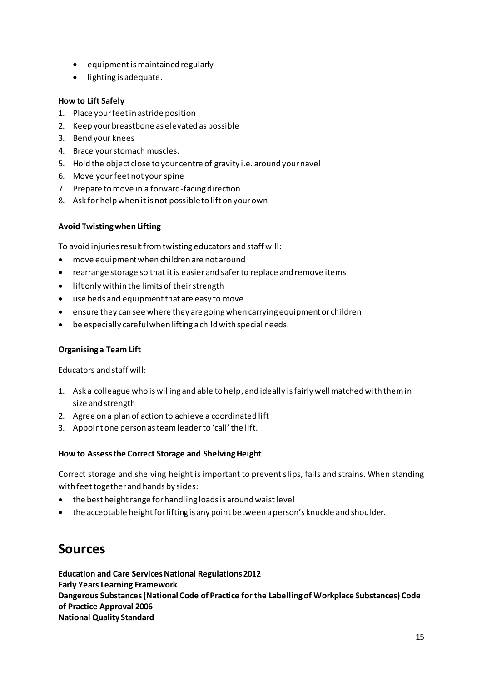- equipment is maintained regularly
- lighting is adequate.

### **How to Lift Safely**

- 1. Place your feet in astride position
- 2. Keep your breastbone as elevated as possible
- 3. Bend your knees
- 4. Brace your stomach muscles.
- 5. Hold the object close to your centre of gravity i.e. around your navel
- 6. Move your feet not your spine
- 7. Prepare to move in a forward-facing direction
- 8. Ask for help when it is not possible to lift on your own

#### **Avoid Twisting when Lifting**

To avoid injuries result from twisting educators and staff will:

- move equipment when children are not around
- rearrange storage so that it is easier and safer to replace and remove items
- lift only within the limits of their strength
- use beds and equipment that are easy to move
- ensure they can see where they are going when carrying equipment or children
- be especially careful when lifting a child with special needs.

#### **Organising a Team Lift**

Educators and staff will:

- 1. Ask a colleague who is willing and able to help, and ideally is fairly well matched with them in size and strength
- 2. Agree on a plan of action to achieve a coordinated lift
- 3. Appoint one person as team leader to 'call' the lift.

### **How to Assess the Correct Storage and Shelving Height**

Correct storage and shelving height is important to prevent slips, falls and strains. When standing with feet together and hands by sides:

- the best height range for handling loads is around waist level
- the acceptable height for lifting is any point between a person's knuckle and shoulder.

# **Sources**

**Education and Care Services National Regulations 2012 Early Years Learning Framework Dangerous Substances (National Code of Practice for the Labelling of Workplace Substances) Code of Practice Approval 2006 National Quality Standard**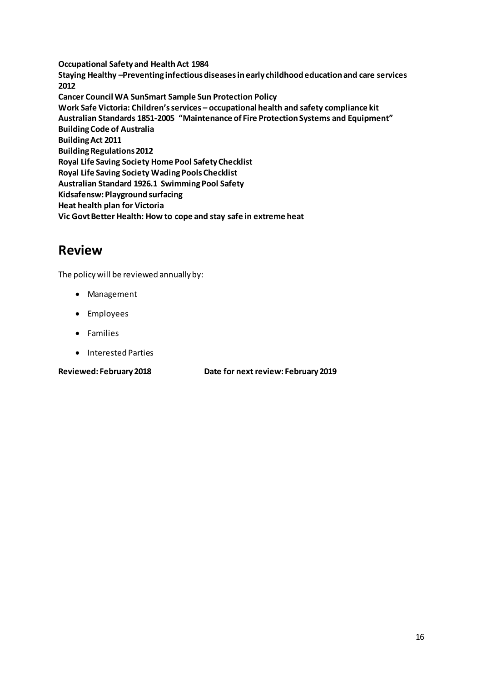**Occupational Safety and Health Act 1984** Staying Healthy -Preventing infectious diseases in early childhood education and care services 2012 **Cancer Council WA SunSmart Sample Sun Protection Policy** Work Safe Victoria: Children's services - occupational health and safety compliance kit Australian Standards 1851-2005 "Maintenance of Fire Protection Systems and Equipment" **Building Code of Australia Building Act 2011 Building Regulations 2012** Royal Life Saving Society Home Pool Safety Checklist Royal Life Saving Society Wading Pools Checklist Australian Standard 1926.1 Swimming Pool Safety Kidsafensw: Playground surfacing Heat health plan for Victoria Vic Govt Better Health: How to cope and stay safe in extreme heat

# **Review**

The policy will be reviewed annually by:

- Management
- Employees
- Families
- Interested Parties

**Reviewed: February 2018** 

Date for next review: February 2019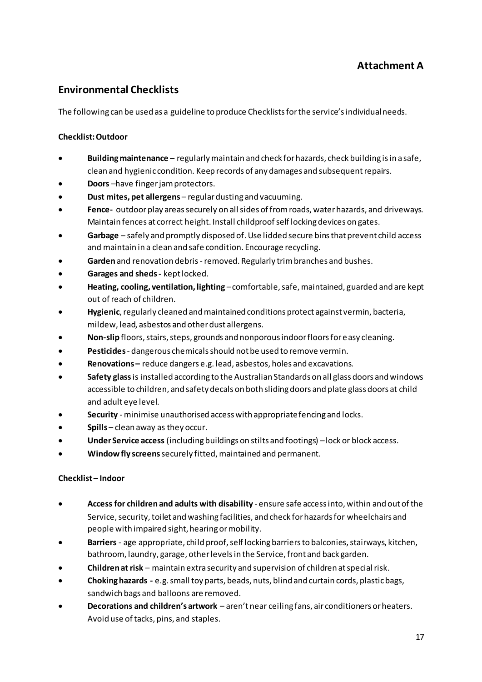## **Attachment A**

## **Environmental Checklists**

The following can be used as a guideline to produce Checklists for the service's individual needs.

### **Checklist: Outdoor**

- Building maintenance regularly maintain and check for hazards, check building is in a safe, clean and hygienic condition. Keep records of any damages and subsequent repairs.
- Doors-have finger jam protectors.
- Dust mites, pet allergens regular dusting and vacuuming.  $\bullet$
- Fence- outdoor play areas securely on all sides of from roads, water hazards, and driveways. Maintain fences at correct height. Install childproof self locking devices on gates.
- Garbage safely and promptly disposed of. Use lidded secure bins that prevent child access and maintain in a clean and safe condition. Encourage recycling.
- Garden and renovation debris removed. Regularly trim branches and bushes.
- Garages and sheds kept locked.
- Heating, cooling, ventilation, lighting comfortable, safe, maintained, guarded and are kept out of reach of children.
- Hygienic, regularly cleaned and maintained conditions protect against vermin, bacteria, mildew, lead, asbestos and other dust allergens.
- Non-slip floors, stairs, steps, grounds and nonporous indoor floors for easy cleaning.
- Pesticides dangerous chemicals should not be used to remove vermin.
- Renovations-reduce dangers e.g. lead, asbestos, holes and excavations.
- Safety glass is installed according to the Australian Standards on all glass doors and windows accessible to children, and safety decals on both sliding doors and plate glass doors at child and adult eye level.
- Security minimise unauthorised access with appropriate fencing and locks.
- Spills clean away as they occur.
- Under Service access (including buildings on stilts and footings) lock or block access.
- Window fly screens securely fitted, maintained and permanent.

### Checklist-Indoor

- Access for children and adults with disability ensure safe access into, within and out of the Service, security, toilet and washing facilities, and check for hazards for wheelchairs and people with impaired sight, hearing or mobility.
- Barriers age appropriate, child proof, self locking barriers to balconies, stairways, kitchen,  $\bullet$ bathroom, laundry, garage, other levels in the Service, front and back garden.
- Children at risk maintain extra security and supervision of children at special risk.
- Choking hazards e.g. small toy parts, beads, nuts, blind and curtain cords, plastic bags, sandwich bags and balloons are removed.
- Decorations and children's artwork aren't near ceiling fans, air conditioners or heaters. Avoid use of tacks, pins, and staples.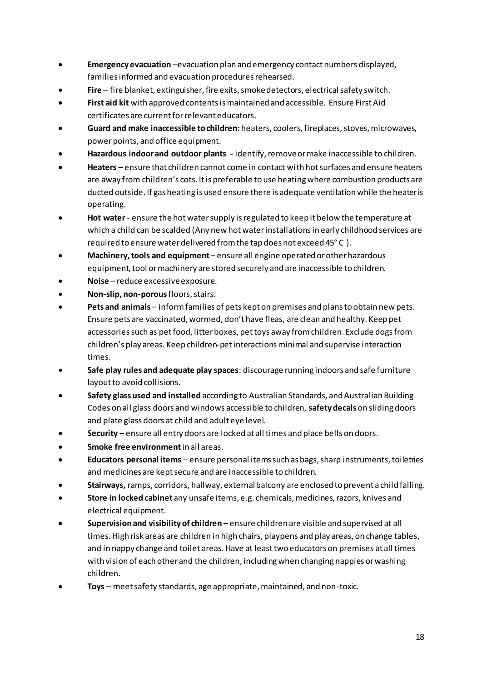- **Emergency evacuation** –evacuation plan and emergency contact numbers displayed, families informed and evacuation procedures rehearsed.
- **Fire**  fire blanket, extinguisher, fire exits, smoke detectors, electrical safety switch.
- **First aid kit** with approved contents is maintained and accessible. Ensure First Aid certificates are current for relevant educators.
- **Guard and make inaccessible to children:** heaters, coolers, fireplaces, stoves, microwaves, power points, and office equipment.
- **Hazardous indoor and outdoor plants** identify, remove or make inaccessible to children.
- **Heaters –** ensure that children cannot come in contact with hot surfaces and ensure heaters are away from children's cots. It is preferable to use heating where combustion products are ducted outside. If gas heating is used ensure there is adequate ventilation while the heater is operating.
- **Hot water**  ensure the hot water supply is regulated to keep it below the temperature at which a child can be scalded (Any new hot water installations in early childhood services are required to ensure water delivered from the tap does not exceed 45° C ).
- **Machinery, tools and equipment**  ensure all engine operated or other hazardous equipment, tool or machinery are stored securely and are inaccessible to children.
- **Noise**  reduce excessive exposure.
- **Non-slip, non-porous** floors, stairs.
- **Pets and animals**  inform families of pets kept on premises and plans to obtain new pets. Ensure pets are vaccinated, wormed, don't have fleas, are clean and healthy. Keep pet accessories such as pet food, litter boxes, pet toys away from children. Exclude dogs from children's play areas. Keep children-pet interactions minimal and supervise interaction times.
- **Safe play rules and adequate play spaces**: discourage running indoors and safe furniture layout to avoid collisions.
- **Safety glass used and installed** according to Australian Standards, and Australian Building Codes on all glass doors and windows accessible to children, **safety decals** on sliding doors and plate glass doors at child and adult eye level.
- **Security**  ensure all entry doors are locked at all times and place bells on doors.
- **Smoke free environment** in all areas.
- **Educators personal items**  ensure personal items such as bags, sharp instruments, toiletries and medicines are kept secure and are inaccessible to children.
- **Stairways,** ramps, corridors, hallway, external balcony are enclosed to prevent a child falling.
- **Store in locked cabinet** any unsafe items, e.g. chemicals, medicines, razors, knives and electrical equipment.
- **Supervision and visibility of children –** ensure children are visible and supervised at all times. High risk areas are children in high chairs, playpens and play areas, on change tables, and in nappy change and toilet areas. Have at least two educators on premises at all times with vision of each other and the children, including when changing nappies or washing children.
- **Toys**  meet safety standards, age appropriate, maintained, and non-toxic.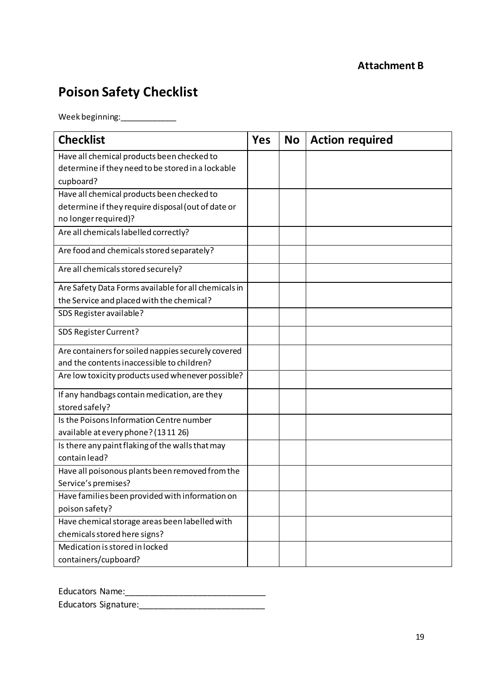# **Attachment B**

# **Poison Safety Checklist**

Week beginning:\_\_\_\_\_\_\_\_\_\_\_\_\_\_\_

| <b>Checklist</b>                                     | <b>Yes</b> | <b>No</b> | <b>Action required</b> |
|------------------------------------------------------|------------|-----------|------------------------|
| Have all chemical products been checked to           |            |           |                        |
| determine if they need to be stored in a lockable    |            |           |                        |
| cupboard?                                            |            |           |                        |
| Have all chemical products been checked to           |            |           |                        |
| determine if they require disposal (out of date or   |            |           |                        |
| no longer required)?                                 |            |           |                        |
| Are all chemicals labelled correctly?                |            |           |                        |
| Are food and chemicals stored separately?            |            |           |                        |
| Are all chemicals stored securely?                   |            |           |                        |
| Are Safety Data Forms available for all chemicals in |            |           |                        |
| the Service and placed with the chemical?            |            |           |                        |
| SDS Register available?                              |            |           |                        |
| SDS Register Current?                                |            |           |                        |
| Are containers for soiled nappies securely covered   |            |           |                        |
| and the contents inaccessible to children?           |            |           |                        |
| Are low toxicity products used whenever possible?    |            |           |                        |
| If any handbags contain medication, are they         |            |           |                        |
| stored safely?                                       |            |           |                        |
| Is the Poisons Information Centre number             |            |           |                        |
| available at every phone? (1311 26)                  |            |           |                        |
| Is there any paint flaking of the walls that may     |            |           |                        |
| contain lead?                                        |            |           |                        |
| Have all poisonous plants been removed from the      |            |           |                        |
| Service's premises?                                  |            |           |                        |
| Have families been provided with information on      |            |           |                        |
| poison safety?                                       |            |           |                        |
| Have chemical storage areas been labelled with       |            |           |                        |
| chemicals stored here signs?                         |            |           |                        |
| Medication is stored in locked                       |            |           |                        |
| containers/cupboard?                                 |            |           |                        |

| <b>Educators Name:</b>      |  |
|-----------------------------|--|
| <b>Educators Signature:</b> |  |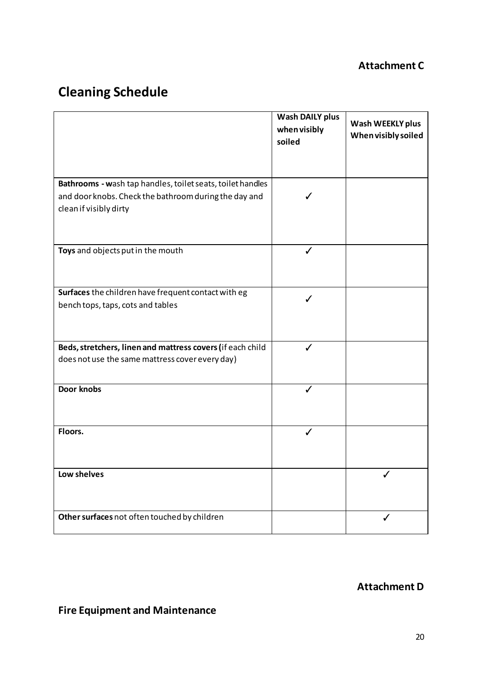# **Attachment C**

# **Cleaning Schedule**

|                                                                                                                                               | <b>Wash DAILY plus</b><br>when visibly<br>soiled | Wash WEEKLY plus<br>When visibly soiled |
|-----------------------------------------------------------------------------------------------------------------------------------------------|--------------------------------------------------|-----------------------------------------|
| Bathrooms - wash tap handles, toilet seats, toilet handles<br>and door knobs. Check the bathroom during the day and<br>clean if visibly dirty |                                                  |                                         |
| Toys and objects put in the mouth                                                                                                             | J                                                |                                         |
| Surfaces the children have frequent contact with eg<br>bench tops, taps, cots and tables                                                      |                                                  |                                         |
| Beds, stretchers, linen and mattress covers (if each child<br>does not use the same mattress cover every day)                                 |                                                  |                                         |
| Door knobs                                                                                                                                    |                                                  |                                         |
| Floors.                                                                                                                                       |                                                  |                                         |
| Low shelves                                                                                                                                   |                                                  |                                         |
| Other surfaces not often touched by children                                                                                                  |                                                  |                                         |

## **Attachment D**

**Fire Equipment and Maintenance**